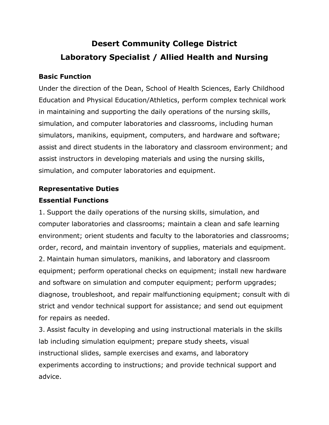# **Desert Community College District Laboratory Specialist / Allied Health and Nursing**

# **Basic Function**

Under the direction of the Dean, School of Health Sciences, Early Childhood Education and Physical Education/Athletics, perform complex technical work in maintaining and supporting the daily operations of the nursing skills, simulation, and computer laboratories and classrooms, including human simulators, manikins, equipment, computers, and hardware and software; assist and direct students in the laboratory and classroom environment; and assist instructors in developing materials and using the nursing skills, simulation, and computer laboratories and equipment.

# **Representative Duties**

# **Essential Functions**

1. Support the daily operations of the nursing skills, simulation, and computer laboratories and classrooms; maintain a clean and safe learning environment; orient students and faculty to the laboratories and classrooms; order, record, and maintain inventory of supplies, materials and equipment. 2. Maintain human simulators, manikins, and laboratory and classroom equipment; perform operational checks on equipment; install new hardware and software on simulation and computer equipment; perform upgrades; diagnose, troubleshoot, and repair malfunctioning equipment; consult with di strict and vendor technical support for assistance; and send out equipment for repairs as needed.

3. Assist faculty in developing and using instructional materials in the skills lab including simulation equipment; prepare study sheets, visual instructional slides, sample exercises and exams, and laboratory experiments according to instructions; and provide technical support and advice.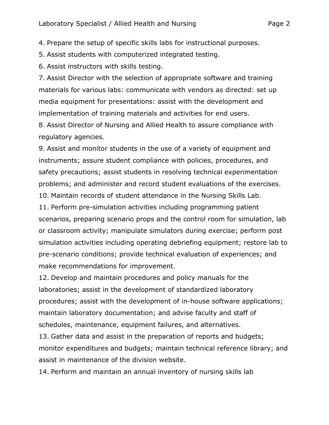4. Prepare the setup of specific skills labs for instructional purposes.

5. Assist students with computerized integrated testing.

6. Assist instructors with skills testing.

7. Assist Director with the selection of appropriate software and training materials for various labs: communicate with vendors as directed: set up media equipment for presentations: assist with the development and implementation of training materials and activities for end users.

8. Assist Director of Nursing and Allied Health to assure compliance with regulatory agencies.

9. Assist and monitor students in the use of a variety of equipment and instruments; assure student compliance with policies, procedures, and safety precautions; assist students in resolving technical experimentation problems; and administer and record student evaluations of the exercises.

10. Maintain records of student attendance in the Nursing Skills Lab.

11. Perform pre-simulation activities including programming patient scenarios, preparing scenario props and the control room for simulation, lab or classroom activity; manipulate simulators during exercise; perform post simulation activities including operating debriefing equipment; restore lab to pre-scenario conditions; provide technical evaluation of experiences; and make recommendations for improvement.

12. Develop and maintain procedures and policy manuals for the laboratories; assist in the development of standardized laboratory procedures; assist with the development of in-house software applications; maintain laboratory documentation; and advise faculty and staff of schedules, maintenance, equipment failures, and alternatives.

13. Gather data and assist in the preparation of reports and budgets; monitor expenditures and budgets; maintain technical reference library; and assist in maintenance of the division website.

14. Perform and maintain an annual inventory of nursing skills lab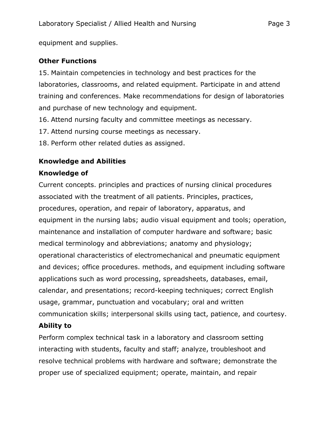equipment and supplies.

# **Other Functions**

15. Maintain competencies in technology and best practices for the laboratories, classrooms, and related equipment. Participate in and attend training and conferences. Make recommendations for design of laboratories and purchase of new technology and equipment.

- 16. Attend nursing faculty and committee meetings as necessary.
- 17. Attend nursing course meetings as necessary.
- 18. Perform other related duties as assigned.

# **Knowledge and Abilities**

# **Knowledge of**

Current concepts. principles and practices of nursing clinical procedures associated with the treatment of all patients. Principles, practices, procedures, operation, and repair of laboratory, apparatus, and equipment in the nursing labs; audio visual equipment and tools; operation, maintenance and installation of computer hardware and software; basic medical terminology and abbreviations; anatomy and physiology; operational characteristics of electromechanical and pneumatic equipment and devices; office procedures. methods, and equipment including software applications such as word processing, spreadsheets, databases, email, calendar, and presentations; record-keeping techniques; correct English usage, grammar, punctuation and vocabulary; oral and written communication skills; interpersonal skills using tact, patience, and courtesy.

# **Ability to**

Perform complex technical task in a laboratory and classroom setting interacting with students, faculty and staff; analyze, troubleshoot and resolve technical problems with hardware and software; demonstrate the proper use of specialized equipment; operate, maintain, and repair